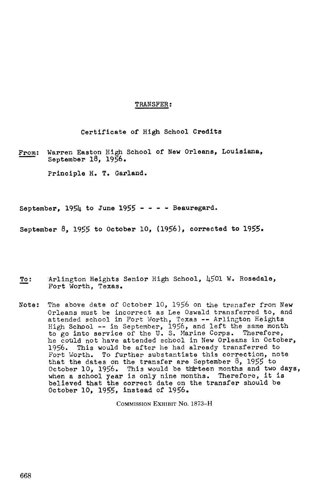## TRANSFER :

Certificate of High School Credits

From: Warren Easton High School of New Orleans, Louisiana, September 18, 1956 .

Principle H. T. Garland.

September,  $195\mu$  to June  $1955 - - - -$  Beauregard.

September 8, 1955 to October 10, (1956), corrected to 1955-

- To: Arlington Heights Senior High School, 4501 W. Rosedale, Fort Worth, Texas .
- Note: The above date of October 10, 1956 on the transfer from New Orleans must be incorrect as Lee Oswald transferred to, and attended school in Fort Worth, Texas -- Arlington Heights High School -- in September, 1956, and left the same month to go into service of the U.S. Marine Corps. Therefore, he could not have attended school in New Orleans in October,<br>1956. This would be after he had already transferred to This would be after he had already transferred to Fort Worth. To further substantiate this correction, note that the dates on the transfer are September 8, 1955 to October 10, 1956. This would be thirteen months and two days,<br>where a school wear is enly nine months. Therefore, it is when a school year is only nine months. Therefore, it is believed that the correct date on the transfer should be October 10, 1955, instead of 1956 .

COMMISSION EXHIBIT No. 1873-H